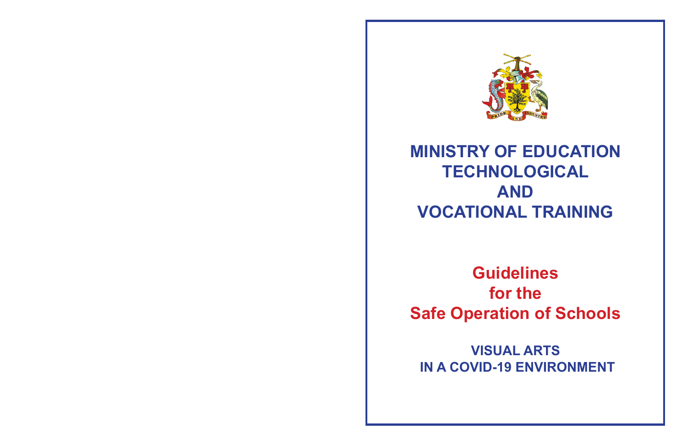## **MINISTRY OF EDUCATION TECHNOLOGICAL AND VOCATIONAL TRAINING**



**Guidelines for the Safe Operation of Schools**

**VISUAL ARTS IN A COVID-19 ENVIRONMENT**